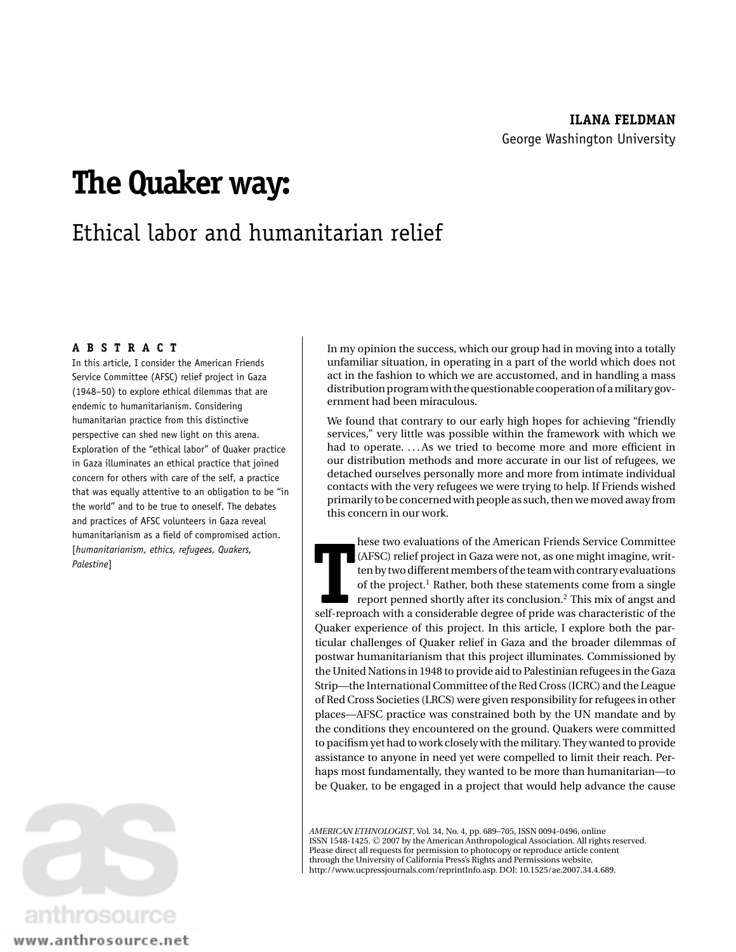# **The Quaker way:**

# Ethical labor and humanitarian relief

#### **ABSTRACT**

In this article, I consider the American Friends Service Committee (AFSC) relief project in Gaza (1948–50) to explore ethical dilemmas that are endemic to humanitarianism. Considering humanitarian practice from this distinctive perspective can shed new light on this arena. Exploration of the "ethical labor" of Quaker practice in Gaza illuminates an ethical practice that joined concern for others with care of the self, a practice that was equally attentive to an obligation to be "in the world" and to be true to oneself. The debates and practices of AFSC volunteers in Gaza reveal humanitarianism as a field of compromised action. [*humanitarianism, ethics, refugees, Quakers, Palestine*]



www.anthrosource.net

In my opinion the success, which our group had in moving into a totally unfamiliar situation, in operating in a part of the world which does not act in the fashion to which we are accustomed, and in handling a mass distribution program with the questionable cooperation of a military government had been miraculous.

We found that contrary to our early high hopes for achieving "friendly services," very little was possible within the framework with which we had to operate. ... As we tried to become more and more efficient in our distribution methods and more accurate in our list of refugees, we detached ourselves personally more and more from intimate individual contacts with the very refugees we were trying to help. If Friends wished primarily to be concerned with people as such, then we moved away from this concern in our work.

hese two evaluations of the American Friends Service Committee<br>
(AFSC) relief project in Gaza were not, as one might imagine, writ-<br>
ten by two different members of the team with contrary evaluations<br>
of the project.<sup>1</sup> Ra hese two evaluations of the American Friends Service Committee (AFSC) relief project in Gaza were not, as one might imagine, written by two different members of the team with contrary evaluations of the project.<sup>1</sup> Rather, both these statements come from a single report penned shortly after its conclusion.<sup>2</sup> This mix of angst and Quaker experience of this project. In this article, I explore both the particular challenges of Quaker relief in Gaza and the broader dilemmas of postwar humanitarianism that this project illuminates. Commissioned by the United Nations in 1948 to provide aid to Palestinian refugees in the Gaza Strip—the International Committee of the Red Cross (ICRC) and the League of Red Cross Societies (LRCS) were given responsibility for refugees in other places—AFSC practice was constrained both by the UN mandate and by the conditions they encountered on the ground. Quakers were committed to pacifism yet had to work closely with the military. They wanted to provide assistance to anyone in need yet were compelled to limit their reach. Perhaps most fundamentally, they wanted to be more than humanitarian—to be Quaker, to be engaged in a project that would help advance the cause

*AMERICAN ETHNOLOGIST*, Vol. 34, No. 4, pp. 689–705, ISSN 0094-0496, online ISSN 1548-1425. © 2007 by the American Anthropological Association. All rights reserved. Please direct all requests for permission to photocopy or reproduce article content through the University of California Press's Rights and Permissions website, http://www.ucpressjournals.com/reprintInfo.asp. DOI: 10.1525/ae.2007.34.4.689.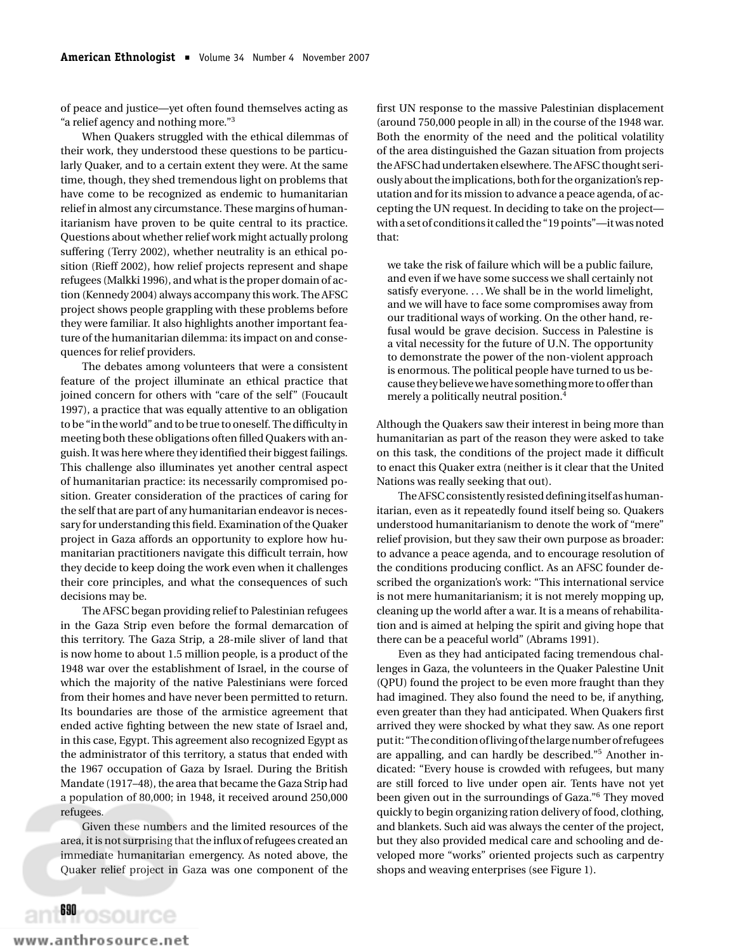of peace and justice—yet often found themselves acting as "a relief agency and nothing more."<sup>3</sup>

When Quakers struggled with the ethical dilemmas of their work, they understood these questions to be particularly Quaker, and to a certain extent they were. At the same time, though, they shed tremendous light on problems that have come to be recognized as endemic to humanitarian relief in almost any circumstance. These margins of humanitarianism have proven to be quite central to its practice. Questions about whether relief work might actually prolong suffering (Terry 2002), whether neutrality is an ethical position (Rieff 2002), how relief projects represent and shape refugees (Malkki 1996), and what is the proper domain of action (Kennedy 2004) always accompany this work. The AFSC project shows people grappling with these problems before they were familiar. It also highlights another important feature of the humanitarian dilemma: its impact on and consequences for relief providers.

The debates among volunteers that were a consistent feature of the project illuminate an ethical practice that joined concern for others with "care of the self" (Foucault 1997), a practice that was equally attentive to an obligation to be "in the world" and to be true to oneself. The difficulty in meeting both these obligations often filled Quakers with anguish. It was here where they identified their biggest failings. This challenge also illuminates yet another central aspect of humanitarian practice: its necessarily compromised position. Greater consideration of the practices of caring for the self that are part of any humanitarian endeavor is necessary for understanding this field. Examination of the Quaker project in Gaza affords an opportunity to explore how humanitarian practitioners navigate this difficult terrain, how they decide to keep doing the work even when it challenges their core principles, and what the consequences of such decisions may be.

The AFSC began providing relief to Palestinian refugees in the Gaza Strip even before the formal demarcation of this territory. The Gaza Strip, a 28-mile sliver of land that is now home to about 1.5 million people, is a product of the 1948 war over the establishment of Israel, in the course of which the majority of the native Palestinians were forced from their homes and have never been permitted to return. Its boundaries are those of the armistice agreement that ended active fighting between the new state of Israel and, in this case, Egypt. This agreement also recognized Egypt as the administrator of this territory, a status that ended with the 1967 occupation of Gaza by Israel. During the British Mandate (1917–48), the area that became the Gaza Strip had a population of 80,000; in 1948, it received around 250,000 refugees.

Given these numbers and the limited resources of the area, it is not surprising that the influx of refugees created an immediate humanitarian emergency. As noted above, the Quaker relief project in Gaza was one component of the

first UN response to the massive Palestinian displacement (around 750,000 people in all) in the course of the 1948 war. Both the enormity of the need and the political volatility of the area distinguished the Gazan situation from projects the AFSC had undertaken elsewhere. The AFSC thought seriously about the implications, both for the organization's reputation and for its mission to advance a peace agenda, of accepting the UN request. In deciding to take on the project with a set of conditions it called the "19 points"—it was noted that:

we take the risk of failure which will be a public failure, and even if we have some success we shall certainly not satisfy everyone. . . . We shall be in the world limelight, and we will have to face some compromises away from our traditional ways of working. On the other hand, refusal would be grave decision. Success in Palestine is a vital necessity for the future of U.N. The opportunity to demonstrate the power of the non-violent approach is enormous. The political people have turned to us because they believe we have something more to offer than merely a politically neutral position.<sup>4</sup>

Although the Quakers saw their interest in being more than humanitarian as part of the reason they were asked to take on this task, the conditions of the project made it difficult to enact this Quaker extra (neither is it clear that the United Nations was really seeking that out).

The AFSC consistently resisted defining itself as humanitarian, even as it repeatedly found itself being so. Quakers understood humanitarianism to denote the work of "mere" relief provision, but they saw their own purpose as broader: to advance a peace agenda, and to encourage resolution of the conditions producing conflict. As an AFSC founder described the organization's work: "This international service is not mere humanitarianism; it is not merely mopping up, cleaning up the world after a war. It is a means of rehabilitation and is aimed at helping the spirit and giving hope that there can be a peaceful world" (Abrams 1991).

Even as they had anticipated facing tremendous challenges in Gaza, the volunteers in the Quaker Palestine Unit (QPU) found the project to be even more fraught than they had imagined. They also found the need to be, if anything, even greater than they had anticipated. When Quakers first arrived they were shocked by what they saw. As one report put it: "The condition of living of the large number of refugees are appalling, and can hardly be described."<sup>5</sup> Another indicated: "Every house is crowded with refugees, but many are still forced to live under open air. Tents have not yet been given out in the surroundings of Gaza."6 They moved quickly to begin organizing ration delivery of food, clothing, and blankets. Such aid was always the center of the project, but they also provided medical care and schooling and developed more "works" oriented projects such as carpentry shops and weaving enterprises (see Figure 1).

n<sup>690</sup>rosource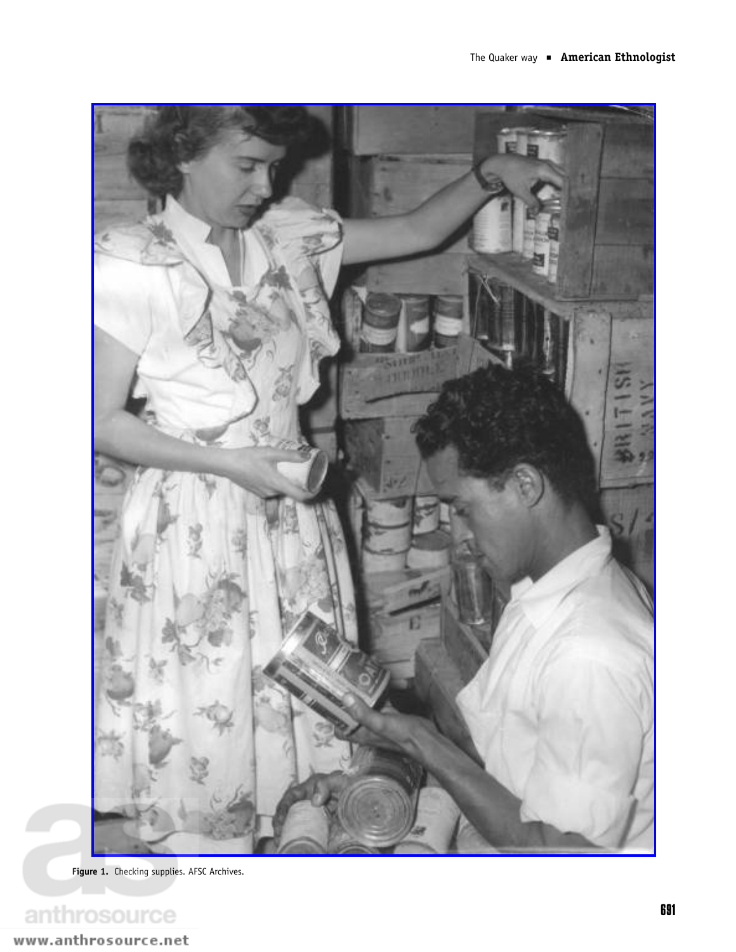

**Figure 1.** Checking supplies. AFSC Archives.

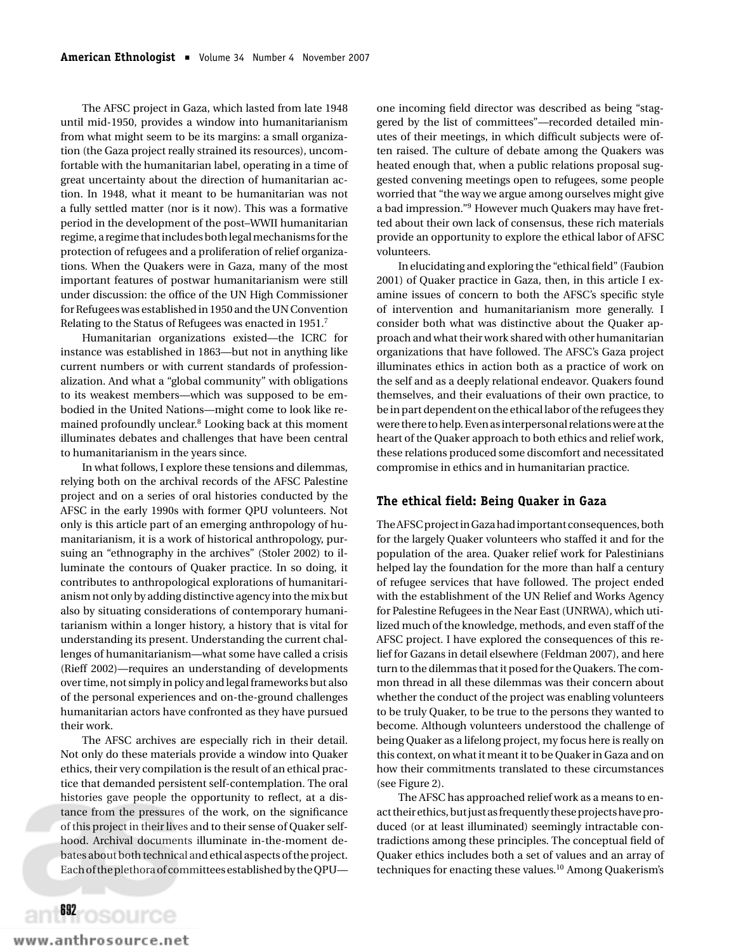The AFSC project in Gaza, which lasted from late 1948 until mid-1950, provides a window into humanitarianism from what might seem to be its margins: a small organization (the Gaza project really strained its resources), uncomfortable with the humanitarian label, operating in a time of great uncertainty about the direction of humanitarian action. In 1948, what it meant to be humanitarian was not a fully settled matter (nor is it now). This was a formative period in the development of the post–WWII humanitarian regime, a regime that includes both legal mechanisms for the protection of refugees and a proliferation of relief organizations. When the Quakers were in Gaza, many of the most important features of postwar humanitarianism were still under discussion: the office of the UN High Commissioner for Refugees was established in 1950 and the UN Convention Relating to the Status of Refugees was enacted in 1951.<sup>7</sup>

Humanitarian organizations existed—the ICRC for instance was established in 1863—but not in anything like current numbers or with current standards of professionalization. And what a "global community" with obligations to its weakest members—which was supposed to be embodied in the United Nations—might come to look like remained profoundly unclear.<sup>8</sup> Looking back at this moment illuminates debates and challenges that have been central to humanitarianism in the years since.

In what follows, I explore these tensions and dilemmas, relying both on the archival records of the AFSC Palestine project and on a series of oral histories conducted by the AFSC in the early 1990s with former QPU volunteers. Not only is this article part of an emerging anthropology of humanitarianism, it is a work of historical anthropology, pursuing an "ethnography in the archives" (Stoler 2002) to illuminate the contours of Quaker practice. In so doing, it contributes to anthropological explorations of humanitarianism not only by adding distinctive agency into the mix but also by situating considerations of contemporary humanitarianism within a longer history, a history that is vital for understanding its present. Understanding the current challenges of humanitarianism—what some have called a crisis (Rieff 2002)—requires an understanding of developments over time, not simply in policy and legal frameworks but also of the personal experiences and on-the-ground challenges humanitarian actors have confronted as they have pursued their work.

The AFSC archives are especially rich in their detail. Not only do these materials provide a window into Quaker ethics, their very compilation is the result of an ethical practice that demanded persistent self-contemplation. The oral histories gave people the opportunity to reflect, at a distance from the pressures of the work, on the significance of this project in their lives and to their sense of Quaker selfhood. Archival documents illuminate in-the-moment debates about both technical and ethical aspects of the project. Each of the plethora of committees established by the QPU— one incoming field director was described as being "staggered by the list of committees"—recorded detailed minutes of their meetings, in which difficult subjects were often raised. The culture of debate among the Quakers was heated enough that, when a public relations proposal suggested convening meetings open to refugees, some people worried that "the way we argue among ourselves might give a bad impression."<sup>9</sup> However much Quakers may have fretted about their own lack of consensus, these rich materials provide an opportunity to explore the ethical labor of AFSC volunteers.

In elucidating and exploring the "ethical field" (Faubion 2001) of Quaker practice in Gaza, then, in this article I examine issues of concern to both the AFSC's specific style of intervention and humanitarianism more generally. I consider both what was distinctive about the Quaker approach and what their work shared with other humanitarian organizations that have followed. The AFSC's Gaza project illuminates ethics in action both as a practice of work on the self and as a deeply relational endeavor. Quakers found themselves, and their evaluations of their own practice, to be in part dependent on the ethical labor of the refugees they were there to help. Even as interpersonal relations were at the heart of the Quaker approach to both ethics and relief work, these relations produced some discomfort and necessitated compromise in ethics and in humanitarian practice.

## **The ethical field: Being Quaker in Gaza**

The AFSC project in Gaza had important consequences, both for the largely Quaker volunteers who staffed it and for the population of the area. Quaker relief work for Palestinians helped lay the foundation for the more than half a century of refugee services that have followed. The project ended with the establishment of the UN Relief and Works Agency for Palestine Refugees in the Near East (UNRWA), which utilized much of the knowledge, methods, and even staff of the AFSC project. I have explored the consequences of this relief for Gazans in detail elsewhere (Feldman 2007), and here turn to the dilemmas that it posed for the Quakers. The common thread in all these dilemmas was their concern about whether the conduct of the project was enabling volunteers to be truly Quaker, to be true to the persons they wanted to become. Although volunteers understood the challenge of being Quaker as a lifelong project, my focus here is really on this context, on what it meant it to be Quaker in Gaza and on how their commitments translated to these circumstances (see Figure 2).

The AFSC has approached relief work as a means to enact their ethics, but just as frequently these projects have produced (or at least illuminated) seemingly intractable contradictions among these principles. The conceptual field of Quaker ethics includes both a set of values and an array of techniques for enacting these values.<sup>10</sup> Among Quakerism's

**692** cosource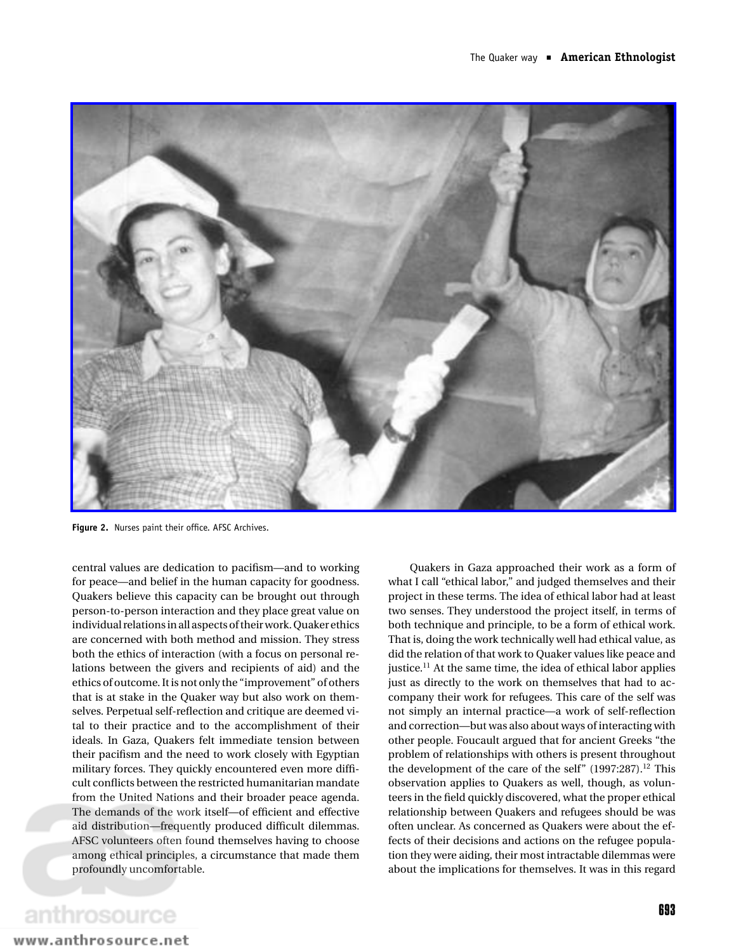

**Figure 2.** Nurses paint their office. AFSC Archives.

central values are dedication to pacifism—and to working for peace—and belief in the human capacity for goodness. Quakers believe this capacity can be brought out through person-to-person interaction and they place great value on individual relations in all aspects of their work. Quaker ethics are concerned with both method and mission. They stress both the ethics of interaction (with a focus on personal relations between the givers and recipients of aid) and the ethics of outcome. It is not only the "improvement" of others that is at stake in the Quaker way but also work on themselves. Perpetual self-reflection and critique are deemed vital to their practice and to the accomplishment of their ideals. In Gaza, Quakers felt immediate tension between their pacifism and the need to work closely with Egyptian military forces. They quickly encountered even more difficult conflicts between the restricted humanitarian mandate from the United Nations and their broader peace agenda. The demands of the work itself—of efficient and effective aid distribution—frequently produced difficult dilemmas. AFSC volunteers often found themselves having to choose among ethical principles, a circumstance that made them profoundly uncomfortable.

Quakers in Gaza approached their work as a form of what I call "ethical labor," and judged themselves and their project in these terms. The idea of ethical labor had at least two senses. They understood the project itself, in terms of both technique and principle, to be a form of ethical work. That is, doing the work technically well had ethical value, as did the relation of that work to Quaker values like peace and justice.<sup>11</sup> At the same time, the idea of ethical labor applies just as directly to the work on themselves that had to accompany their work for refugees. This care of the self was not simply an internal practice—a work of self-reflection and correction—but was also about ways of interacting with other people. Foucault argued that for ancient Greeks "the problem of relationships with others is present throughout the development of the care of the self"  $(1997:287).$ <sup>12</sup> This observation applies to Quakers as well, though, as volunteers in the field quickly discovered, what the proper ethical relationship between Quakers and refugees should be was often unclear. As concerned as Quakers were about the effects of their decisions and actions on the refugee population they were aiding, their most intractable dilemmas were about the implications for themselves. It was in this regard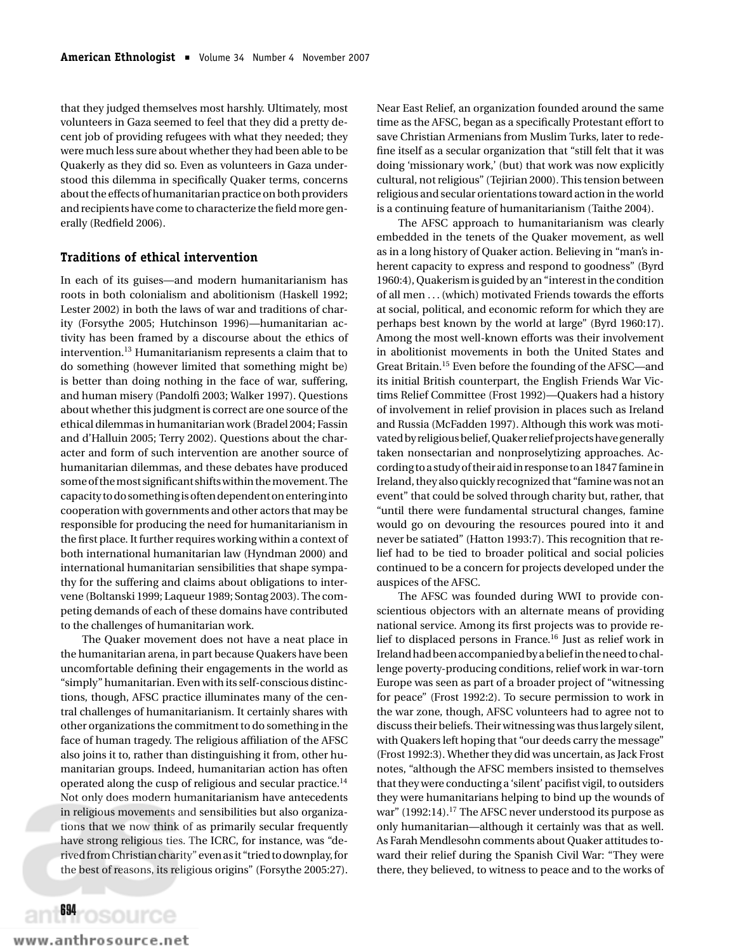that they judged themselves most harshly. Ultimately, most volunteers in Gaza seemed to feel that they did a pretty decent job of providing refugees with what they needed; they were much less sure about whether they had been able to be Quakerly as they did so. Even as volunteers in Gaza understood this dilemma in specifically Quaker terms, concerns about the effects of humanitarian practice on both providers and recipients have come to characterize the field more generally (Redfield 2006).

### **Traditions of ethical intervention**

In each of its guises—and modern humanitarianism has roots in both colonialism and abolitionism (Haskell 1992; Lester 2002) in both the laws of war and traditions of charity (Forsythe 2005; Hutchinson 1996)—humanitarian activity has been framed by a discourse about the ethics of intervention.13 Humanitarianism represents a claim that to do something (however limited that something might be) is better than doing nothing in the face of war, suffering, and human misery (Pandolfi 2003; Walker 1997). Questions about whether this judgment is correct are one source of the ethical dilemmas in humanitarian work (Bradel 2004; Fassin and d'Halluin 2005; Terry 2002). Questions about the character and form of such intervention are another source of humanitarian dilemmas, and these debates have produced some of the most significant shifts within the movement. The capacity to do something is often dependent on entering into cooperation with governments and other actors that may be responsible for producing the need for humanitarianism in the first place. It further requires working within a context of both international humanitarian law (Hyndman 2000) and international humanitarian sensibilities that shape sympathy for the suffering and claims about obligations to intervene (Boltanski 1999; Laqueur 1989; Sontag 2003). The competing demands of each of these domains have contributed to the challenges of humanitarian work.

The Quaker movement does not have a neat place in the humanitarian arena, in part because Quakers have been uncomfortable defining their engagements in the world as "simply" humanitarian. Even with its self-conscious distinctions, though, AFSC practice illuminates many of the central challenges of humanitarianism. It certainly shares with other organizations the commitment to do something in the face of human tragedy. The religious affiliation of the AFSC also joins it to, rather than distinguishing it from, other humanitarian groups. Indeed, humanitarian action has often operated along the cusp of religious and secular practice.<sup>14</sup> Not only does modern humanitarianism have antecedents in religious movements and sensibilities but also organizations that we now think of as primarily secular frequently have strong religious ties. The ICRC, for instance, was "derived from Christian charity" even as it "tried to downplay, for the best of reasons, its religious origins" (Forsythe 2005:27). Near East Relief, an organization founded around the same time as the AFSC, began as a specifically Protestant effort to save Christian Armenians from Muslim Turks, later to redefine itself as a secular organization that "still felt that it was doing 'missionary work,' (but) that work was now explicitly cultural, not religious" (Tejirian 2000). This tension between religious and secular orientations toward action in the world is a continuing feature of humanitarianism (Taithe 2004).

The AFSC approach to humanitarianism was clearly embedded in the tenets of the Quaker movement, as well as in a long history of Quaker action. Believing in "man's inherent capacity to express and respond to goodness" (Byrd 1960:4), Quakerism is guided by an "interest in the condition of all men . . . (which) motivated Friends towards the efforts at social, political, and economic reform for which they are perhaps best known by the world at large" (Byrd 1960:17). Among the most well-known efforts was their involvement in abolitionist movements in both the United States and Great Britain.<sup>15</sup> Even before the founding of the AFSC—and its initial British counterpart, the English Friends War Victims Relief Committee (Frost 1992)—Quakers had a history of involvement in relief provision in places such as Ireland and Russia (McFadden 1997). Although this work was motivated by religious belief, Quaker relief projects have generally taken nonsectarian and nonproselytizing approaches. According to a study of their aid in response to an 1847 famine in Ireland, they also quickly recognized that "famine was not an event" that could be solved through charity but, rather, that "until there were fundamental structural changes, famine would go on devouring the resources poured into it and never be satiated" (Hatton 1993:7). This recognition that relief had to be tied to broader political and social policies continued to be a concern for projects developed under the auspices of the AFSC.

The AFSC was founded during WWI to provide conscientious objectors with an alternate means of providing national service. Among its first projects was to provide relief to displaced persons in France.<sup>16</sup> Just as relief work in Ireland had been accompanied by a belief in the need to challenge poverty-producing conditions, relief work in war-torn Europe was seen as part of a broader project of "witnessing for peace" (Frost 1992:2). To secure permission to work in the war zone, though, AFSC volunteers had to agree not to discuss their beliefs. Their witnessing was thus largely silent, with Quakers left hoping that "our deeds carry the message" (Frost 1992:3). Whether they did was uncertain, as Jack Frost notes, "although the AFSC members insisted to themselves that they were conducting a 'silent' pacifist vigil, to outsiders they were humanitarians helping to bind up the wounds of war" (1992:14).<sup>17</sup> The AFSC never understood its purpose as only humanitarian—although it certainly was that as well. As Farah Mendlesohn comments about Quaker attitudes toward their relief during the Spanish Civil War: "They were there, they believed, to witness to peace and to the works of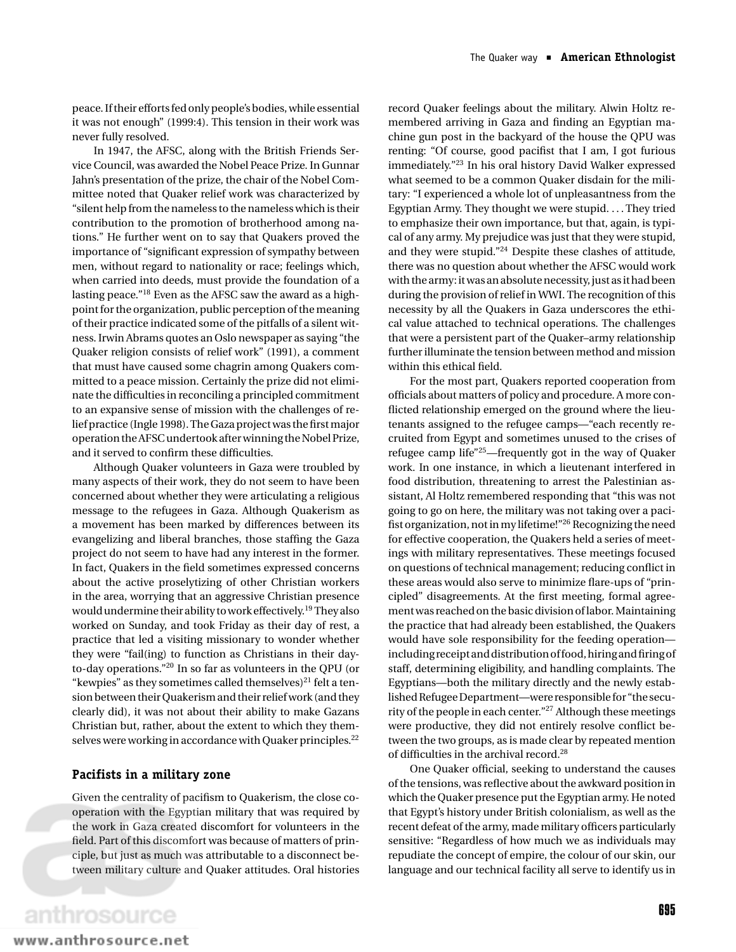peace. If their efforts fed only people's bodies, while essential it was not enough" (1999:4). This tension in their work was never fully resolved.

In 1947, the AFSC, along with the British Friends Service Council, was awarded the Nobel Peace Prize. In Gunnar Jahn's presentation of the prize, the chair of the Nobel Committee noted that Quaker relief work was characterized by "silent help from the nameless to the nameless which is their contribution to the promotion of brotherhood among nations." He further went on to say that Quakers proved the importance of "significant expression of sympathy between men, without regard to nationality or race; feelings which, when carried into deeds, must provide the foundation of a lasting peace."<sup>18</sup> Even as the AFSC saw the award as a highpoint for the organization, public perception of the meaning of their practice indicated some of the pitfalls of a silent witness. Irwin Abrams quotes an Oslo newspaper as saying "the Quaker religion consists of relief work" (1991), a comment that must have caused some chagrin among Quakers committed to a peace mission. Certainly the prize did not eliminate the difficulties in reconciling a principled commitment to an expansive sense of mission with the challenges of relief practice (Ingle 1998). The Gaza project was the first major operation the AFSC undertook after winning the Nobel Prize, and it served to confirm these difficulties.

Although Quaker volunteers in Gaza were troubled by many aspects of their work, they do not seem to have been concerned about whether they were articulating a religious message to the refugees in Gaza. Although Quakerism as a movement has been marked by differences between its evangelizing and liberal branches, those staffing the Gaza project do not seem to have had any interest in the former. In fact, Quakers in the field sometimes expressed concerns about the active proselytizing of other Christian workers in the area, worrying that an aggressive Christian presence would undermine their ability to work effectively.<sup>19</sup> They also worked on Sunday, and took Friday as their day of rest, a practice that led a visiting missionary to wonder whether they were "fail(ing) to function as Christians in their dayto-day operations."<sup>20</sup> In so far as volunteers in the QPU (or "kewpies" as they sometimes called themselves)<sup>21</sup> felt a tension between their Quakerism and their relief work (and they clearly did), it was not about their ability to make Gazans Christian but, rather, about the extent to which they themselves were working in accordance with Quaker principles.<sup>22</sup>

#### **Pacifists in a military zone**

Given the centrality of pacifism to Quakerism, the close cooperation with the Egyptian military that was required by the work in Gaza created discomfort for volunteers in the field. Part of this discomfort was because of matters of principle, but just as much was attributable to a disconnect between military culture and Quaker attitudes. Oral histories

record Quaker feelings about the military. Alwin Holtz remembered arriving in Gaza and finding an Egyptian machine gun post in the backyard of the house the QPU was renting: "Of course, good pacifist that I am, I got furious immediately."<sup>23</sup> In his oral history David Walker expressed what seemed to be a common Quaker disdain for the military: "I experienced a whole lot of unpleasantness from the Egyptian Army. They thought we were stupid. . . . They tried to emphasize their own importance, but that, again, is typical of any army. My prejudice was just that they were stupid, and they were stupid."<sup>24</sup> Despite these clashes of attitude, there was no question about whether the AFSC would work with the army: it was an absolute necessity, just as it had been during the provision of relief in WWI. The recognition of this necessity by all the Quakers in Gaza underscores the ethical value attached to technical operations. The challenges that were a persistent part of the Quaker–army relationship further illuminate the tension between method and mission within this ethical field. For the most part, Quakers reported cooperation from

officials about matters of policy and procedure. A more conflicted relationship emerged on the ground where the lieutenants assigned to the refugee camps—"each recently recruited from Egypt and sometimes unused to the crises of refugee camp life"25—frequently got in the way of Quaker work. In one instance, in which a lieutenant interfered in food distribution, threatening to arrest the Palestinian assistant, Al Holtz remembered responding that "this was not going to go on here, the military was not taking over a pacifist organization, not in my lifetime!"<sup>26</sup> Recognizing the need for effective cooperation, the Quakers held a series of meetings with military representatives. These meetings focused on questions of technical management; reducing conflict in these areas would also serve to minimize flare-ups of "principled" disagreements. At the first meeting, formal agreement was reached on the basic division of labor. Maintaining the practice that had already been established, the Quakers would have sole responsibility for the feeding operation including receipt and distribution of food, hiring and firing of staff, determining eligibility, and handling complaints. The Egyptians—both the military directly and the newly established Refugee Department—were responsible for "the security of the people in each center."<sup>27</sup> Although these meetings were productive, they did not entirely resolve conflict between the two groups, as is made clear by repeated mention of difficulties in the archival record.<sup>28</sup>

One Quaker official, seeking to understand the causes of the tensions, was reflective about the awkward position in which the Quaker presence put the Egyptian army. He noted that Egypt's history under British colonialism, as well as the recent defeat of the army, made military officers particularly sensitive: "Regardless of how much we as individuals may repudiate the concept of empire, the colour of our skin, our language and our technical facility all serve to identify us in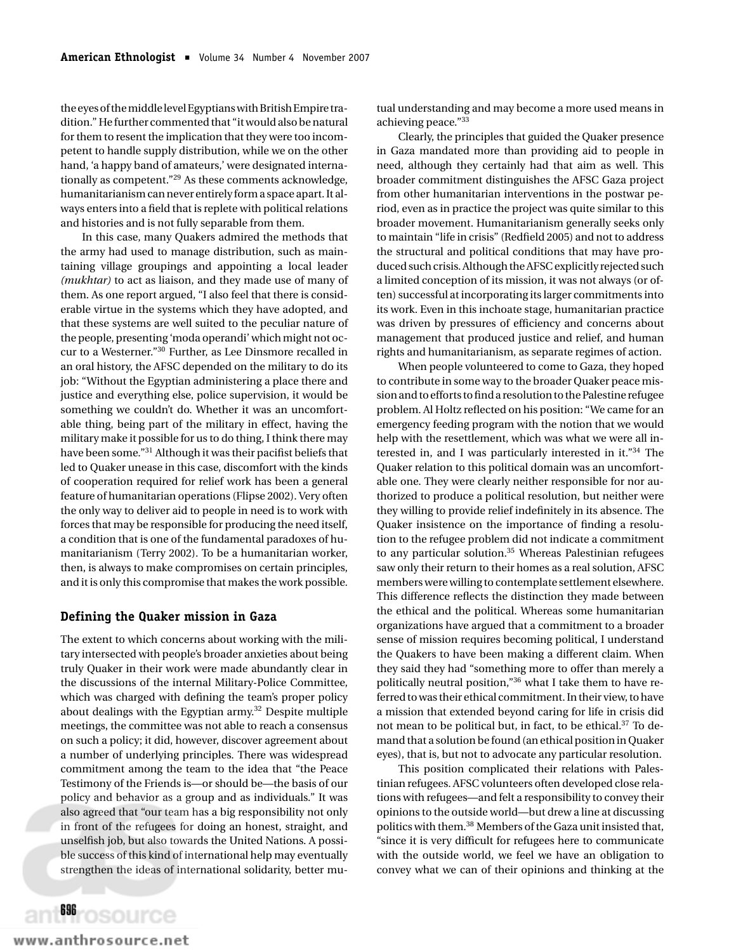the eyes of the middle level Egyptians with British Empire tradition." He further commented that "it would also be natural for them to resent the implication that they were too incompetent to handle supply distribution, while we on the other hand, 'a happy band of amateurs,' were designated internationally as competent."<sup>29</sup> As these comments acknowledge, humanitarianism can never entirely form a space apart. It always enters into a field that is replete with political relations and histories and is not fully separable from them.

In this case, many Quakers admired the methods that the army had used to manage distribution, such as maintaining village groupings and appointing a local leader *(mukhtar)* to act as liaison, and they made use of many of them. As one report argued, "I also feel that there is considerable virtue in the systems which they have adopted, and that these systems are well suited to the peculiar nature of the people, presenting 'moda operandi' which might not occur to a Westerner."<sup>30</sup> Further, as Lee Dinsmore recalled in an oral history, the AFSC depended on the military to do its job: "Without the Egyptian administering a place there and justice and everything else, police supervision, it would be something we couldn't do. Whether it was an uncomfortable thing, being part of the military in effect, having the military make it possible for us to do thing, I think there may have been some."31 Although it was their pacifist beliefs that led to Quaker unease in this case, discomfort with the kinds of cooperation required for relief work has been a general feature of humanitarian operations (Flipse 2002). Very often the only way to deliver aid to people in need is to work with forces that may be responsible for producing the need itself, a condition that is one of the fundamental paradoxes of humanitarianism (Terry 2002). To be a humanitarian worker, then, is always to make compromises on certain principles, and it is only this compromise that makes the work possible.

## **Defining the Quaker mission in Gaza**

The extent to which concerns about working with the military intersected with people's broader anxieties about being truly Quaker in their work were made abundantly clear in the discussions of the internal Military-Police Committee, which was charged with defining the team's proper policy about dealings with the Egyptian army.<sup>32</sup> Despite multiple meetings, the committee was not able to reach a consensus on such a policy; it did, however, discover agreement about a number of underlying principles. There was widespread commitment among the team to the idea that "the Peace Testimony of the Friends is—or should be—the basis of our policy and behavior as a group and as individuals." It was also agreed that "our team has a big responsibility not only in front of the refugees for doing an honest, straight, and unselfish job, but also towards the United Nations. A possible success of this kind of international help may eventually strengthen the ideas of international solidarity, better mutual understanding and may become a more used means in achieving peace."<sup>33</sup>

Clearly, the principles that guided the Quaker presence in Gaza mandated more than providing aid to people in need, although they certainly had that aim as well. This broader commitment distinguishes the AFSC Gaza project from other humanitarian interventions in the postwar period, even as in practice the project was quite similar to this broader movement. Humanitarianism generally seeks only to maintain "life in crisis" (Redfield 2005) and not to address the structural and political conditions that may have produced such crisis. Although the AFSC explicitly rejected such a limited conception of its mission, it was not always (or often) successful at incorporating its larger commitments into its work. Even in this inchoate stage, humanitarian practice was driven by pressures of efficiency and concerns about management that produced justice and relief, and human rights and humanitarianism, as separate regimes of action.

When people volunteered to come to Gaza, they hoped to contribute in some way to the broader Quaker peace mission and to efforts to find a resolution to the Palestine refugee problem. Al Holtz reflected on his position: "We came for an emergency feeding program with the notion that we would help with the resettlement, which was what we were all interested in, and I was particularly interested in it."<sup>34</sup> The Quaker relation to this political domain was an uncomfortable one. They were clearly neither responsible for nor authorized to produce a political resolution, but neither were they willing to provide relief indefinitely in its absence. The Quaker insistence on the importance of finding a resolution to the refugee problem did not indicate a commitment to any particular solution.<sup>35</sup> Whereas Palestinian refugees saw only their return to their homes as a real solution, AFSC members were willing to contemplate settlement elsewhere. This difference reflects the distinction they made between the ethical and the political. Whereas some humanitarian organizations have argued that a commitment to a broader sense of mission requires becoming political, I understand the Quakers to have been making a different claim. When they said they had "something more to offer than merely a politically neutral position,"<sup>36</sup> what I take them to have referred to was their ethical commitment. In their view, to have a mission that extended beyond caring for life in crisis did not mean to be political but, in fact, to be ethical.<sup>37</sup> To demand that a solution be found (an ethical position in Quaker eyes), that is, but not to advocate any particular resolution.

This position complicated their relations with Palestinian refugees. AFSC volunteers often developed close relations with refugees—and felt a responsibility to convey their opinions to the outside world—but drew a line at discussing politics with them.<sup>38</sup> Members of the Gaza unit insisted that, "since it is very difficult for refugees here to communicate with the outside world, we feel we have an obligation to convey what we can of their opinions and thinking at the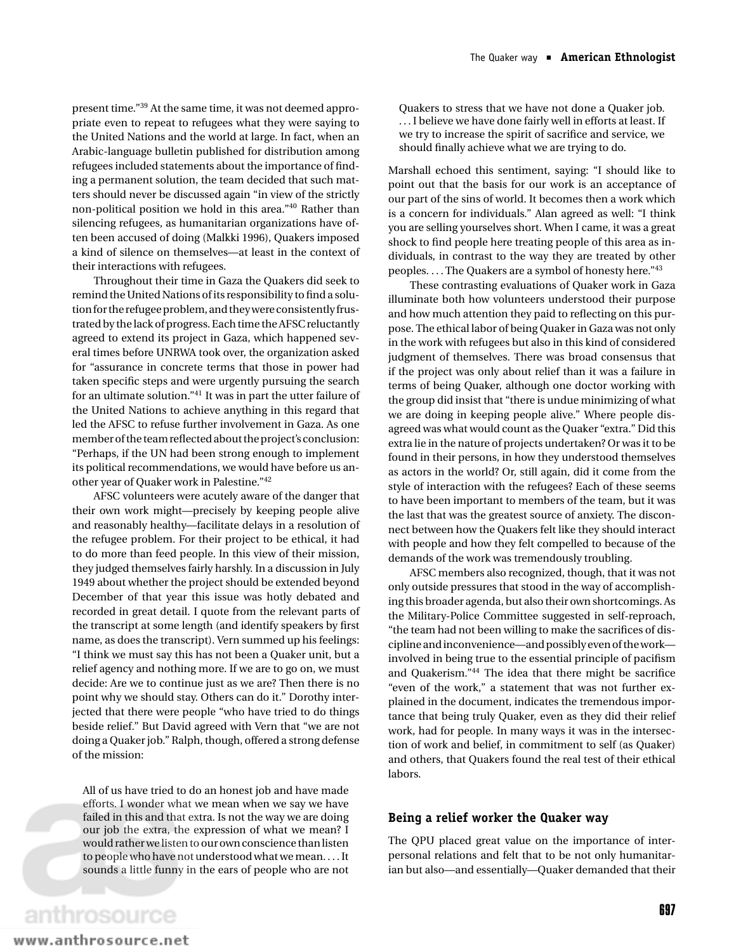present time."<sup>39</sup> At the same time, it was not deemed appropriate even to repeat to refugees what they were saying to the United Nations and the world at large. In fact, when an Arabic-language bulletin published for distribution among refugees included statements about the importance of finding a permanent solution, the team decided that such matters should never be discussed again "in view of the strictly non-political position we hold in this area."<sup>40</sup> Rather than silencing refugees, as humanitarian organizations have often been accused of doing (Malkki 1996), Quakers imposed a kind of silence on themselves—at least in the context of their interactions with refugees.

Throughout their time in Gaza the Quakers did seek to remind the United Nations of its responsibility to find a solution for the refugee problem, and they were consistently frustrated by the lack of progress. Each time the AFSC reluctantly agreed to extend its project in Gaza, which happened several times before UNRWA took over, the organization asked for "assurance in concrete terms that those in power had taken specific steps and were urgently pursuing the search for an ultimate solution."<sup>41</sup> It was in part the utter failure of the United Nations to achieve anything in this regard that led the AFSC to refuse further involvement in Gaza. As one member of the team reflected about the project's conclusion: "Perhaps, if the UN had been strong enough to implement its political recommendations, we would have before us another year of Quaker work in Palestine."<sup>42</sup>

AFSC volunteers were acutely aware of the danger that their own work might—precisely by keeping people alive and reasonably healthy—facilitate delays in a resolution of the refugee problem. For their project to be ethical, it had to do more than feed people. In this view of their mission, they judged themselves fairly harshly. In a discussion in July 1949 about whether the project should be extended beyond December of that year this issue was hotly debated and recorded in great detail. I quote from the relevant parts of the transcript at some length (and identify speakers by first name, as does the transcript). Vern summed up his feelings: "I think we must say this has not been a Quaker unit, but a relief agency and nothing more. If we are to go on, we must decide: Are we to continue just as we are? Then there is no point why we should stay. Others can do it." Dorothy interjected that there were people "who have tried to do things beside relief." But David agreed with Vern that "we are not doing a Quaker job." Ralph, though, offered a strong defense of the mission:

All of us have tried to do an honest job and have made efforts. I wonder what we mean when we say we have failed in this and that extra. Is not the way we are doing our job the extra, the expression of what we mean? I would rather we listen to our own conscience than listen to people who have not understood what we mean. . . . It sounds a little funny in the ears of people who are not

Quakers to stress that we have not done a Quaker job. ...I believe we have done fairly well in efforts at least. If we try to increase the spirit of sacrifice and service, we should finally achieve what we are trying to do.

Marshall echoed this sentiment, saying: "I should like to point out that the basis for our work is an acceptance of our part of the sins of world. It becomes then a work which is a concern for individuals." Alan agreed as well: "I think you are selling yourselves short. When I came, it was a great shock to find people here treating people of this area as individuals, in contrast to the way they are treated by other peoples. . . . The Quakers are a symbol of honesty here."43

These contrasting evaluations of Quaker work in Gaza illuminate both how volunteers understood their purpose and how much attention they paid to reflecting on this purpose. The ethical labor of being Quaker in Gaza was not only in the work with refugees but also in this kind of considered judgment of themselves. There was broad consensus that if the project was only about relief than it was a failure in terms of being Quaker, although one doctor working with the group did insist that "there is undue minimizing of what we are doing in keeping people alive." Where people disagreed was what would count as the Quaker "extra." Did this extra lie in the nature of projects undertaken? Or was it to be found in their persons, in how they understood themselves as actors in the world? Or, still again, did it come from the style of interaction with the refugees? Each of these seems to have been important to members of the team, but it was the last that was the greatest source of anxiety. The disconnect between how the Quakers felt like they should interact with people and how they felt compelled to because of the demands of the work was tremendously troubling.

AFSC members also recognized, though, that it was not only outside pressures that stood in the way of accomplishing this broader agenda, but also their own shortcomings. As the Military-Police Committee suggested in self-reproach, "the team had not been willing to make the sacrifices of discipline and inconvenience—and possibly even of the work involved in being true to the essential principle of pacifism and Quakerism."<sup>44</sup> The idea that there might be sacrifice "even of the work," a statement that was not further explained in the document, indicates the tremendous importance that being truly Quaker, even as they did their relief work, had for people. In many ways it was in the intersection of work and belief, in commitment to self (as Quaker) and others, that Quakers found the real test of their ethical labors.

#### **Being a relief worker the Quaker way**

The QPU placed great value on the importance of interpersonal relations and felt that to be not only humanitarian but also—and essentially—Quaker demanded that their

anthrosource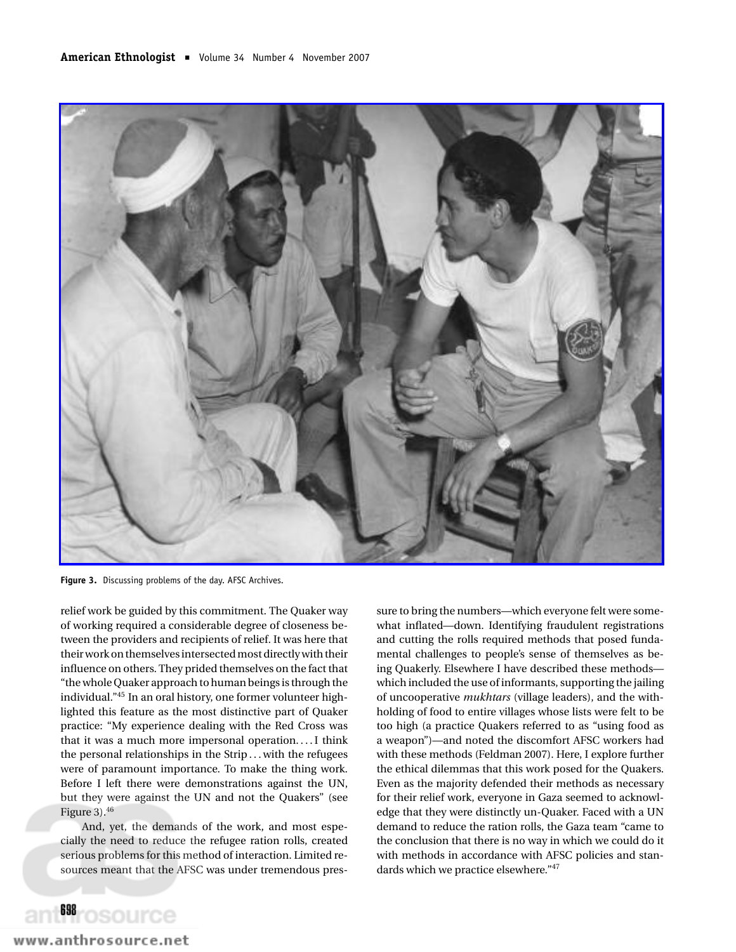

**Figure 3.** Discussing problems of the day. AFSC Archives.

relief work be guided by this commitment. The Quaker way of working required a considerable degree of closeness between the providers and recipients of relief. It was here that their work on themselves intersected most directly with their influence on others. They prided themselves on the fact that "the whole Quaker approach to human beings is through the individual."<sup>45</sup> In an oral history, one former volunteer highlighted this feature as the most distinctive part of Quaker practice: "My experience dealing with the Red Cross was that it was a much more impersonal operation. ...I think the personal relationships in the Strip... with the refugees were of paramount importance. To make the thing work. Before I left there were demonstrations against the UN, but they were against the UN and not the Quakers" (see Figure 3). $46$ 

And, yet, the demands of the work, and most especially the need to reduce the refugee ration rolls, created serious problems for this method of interaction. Limited resources meant that the AFSC was under tremendous pressure to bring the numbers—which everyone felt were somewhat inflated—down. Identifying fraudulent registrations and cutting the rolls required methods that posed fundamental challenges to people's sense of themselves as being Quakerly. Elsewhere I have described these methods which included the use of informants, supporting the jailing of uncooperative *mukhtars* (village leaders), and the withholding of food to entire villages whose lists were felt to be too high (a practice Quakers referred to as "using food as a weapon")—and noted the discomfort AFSC workers had with these methods (Feldman 2007). Here, I explore further the ethical dilemmas that this work posed for the Quakers. Even as the majority defended their methods as necessary for their relief work, everyone in Gaza seemed to acknowledge that they were distinctly un-Quaker. Faced with a UN demand to reduce the ration rolls, the Gaza team "came to the conclusion that there is no way in which we could do it with methods in accordance with AFSC policies and standards which we practice elsewhere."<sup>47</sup>

osource

698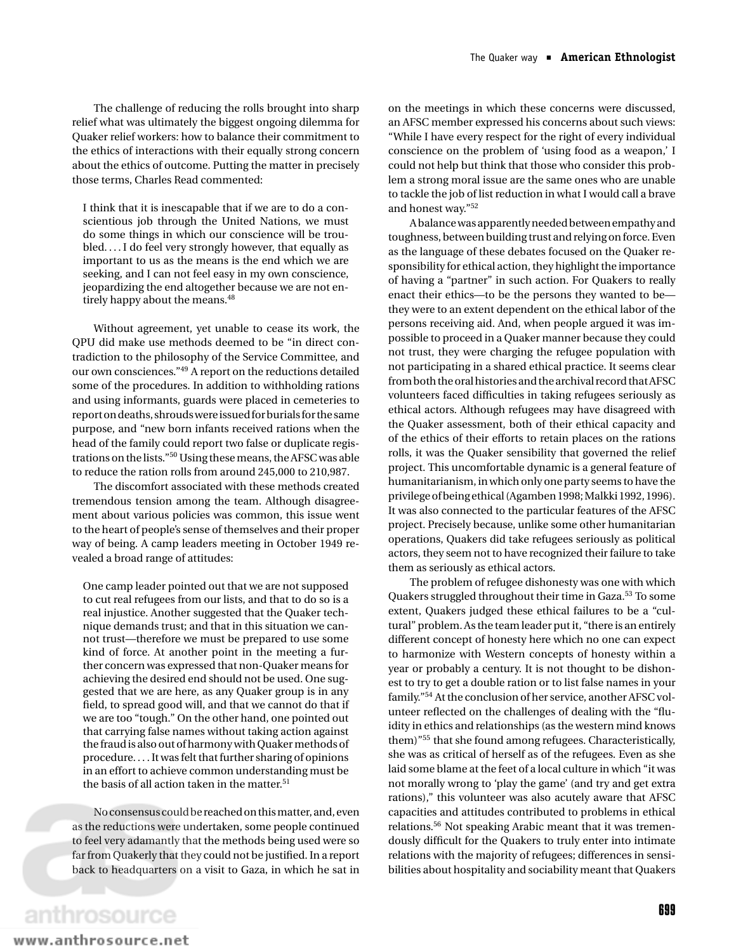The challenge of reducing the rolls brought into sharp relief what was ultimately the biggest ongoing dilemma for Quaker relief workers: how to balance their commitment to the ethics of interactions with their equally strong concern about the ethics of outcome. Putting the matter in precisely those terms, Charles Read commented:

I think that it is inescapable that if we are to do a conscientious job through the United Nations, we must do some things in which our conscience will be troubled. . . . I do feel very strongly however, that equally as important to us as the means is the end which we are seeking, and I can not feel easy in my own conscience, jeopardizing the end altogether because we are not entirely happy about the means.<sup>48</sup>

Without agreement, yet unable to cease its work, the QPU did make use methods deemed to be "in direct contradiction to the philosophy of the Service Committee, and our own consciences."<sup>49</sup> A report on the reductions detailed some of the procedures. In addition to withholding rations and using informants, guards were placed in cemeteries to report on deaths, shrouds were issued for burials for the same purpose, and "new born infants received rations when the head of the family could report two false or duplicate registrations on the lists."<sup>50</sup> Using these means, the AFSC was able to reduce the ration rolls from around 245,000 to 210,987.

The discomfort associated with these methods created tremendous tension among the team. Although disagreement about various policies was common, this issue went to the heart of people's sense of themselves and their proper way of being. A camp leaders meeting in October 1949 revealed a broad range of attitudes:

One camp leader pointed out that we are not supposed to cut real refugees from our lists, and that to do so is a real injustice. Another suggested that the Quaker technique demands trust; and that in this situation we cannot trust—therefore we must be prepared to use some kind of force. At another point in the meeting a further concern was expressed that non-Quaker means for achieving the desired end should not be used. One suggested that we are here, as any Quaker group is in any field, to spread good will, and that we cannot do that if we are too "tough." On the other hand, one pointed out that carrying false names without taking action against the fraud is also out of harmony with Quaker methods of procedure. . . . It was felt that further sharing of opinions in an effort to achieve common understanding must be the basis of all action taken in the matter.<sup>51</sup>

No consensus could be reached on this matter, and, even as the reductions were undertaken, some people continued to feel very adamantly that the methods being used were so far from Quakerly that they could not be justified. In a report back to headquarters on a visit to Gaza, in which he sat in on the meetings in which these concerns were discussed, an AFSC member expressed his concerns about such views: "While I have every respect for the right of every individual conscience on the problem of 'using food as a weapon,' I could not help but think that those who consider this problem a strong moral issue are the same ones who are unable to tackle the job of list reduction in what I would call a brave and honest way."<sup>52</sup>

A balance was apparently needed between empathy and toughness, between building trust and relying on force. Even as the language of these debates focused on the Quaker responsibility for ethical action, they highlight the importance of having a "partner" in such action. For Quakers to really enact their ethics—to be the persons they wanted to be they were to an extent dependent on the ethical labor of the persons receiving aid. And, when people argued it was impossible to proceed in a Quaker manner because they could not trust, they were charging the refugee population with not participating in a shared ethical practice. It seems clear from both the oral histories and the archival record that AFSC volunteers faced difficulties in taking refugees seriously as ethical actors. Although refugees may have disagreed with the Quaker assessment, both of their ethical capacity and of the ethics of their efforts to retain places on the rations rolls, it was the Quaker sensibility that governed the relief project. This uncomfortable dynamic is a general feature of humanitarianism, in which only one party seems to have the privilege of being ethical (Agamben 1998; Malkki 1992, 1996). It was also connected to the particular features of the AFSC project. Precisely because, unlike some other humanitarian operations, Quakers did take refugees seriously as political actors, they seem not to have recognized their failure to take them as seriously as ethical actors.

The problem of refugee dishonesty was one with which Quakers struggled throughout their time in Gaza.<sup>53</sup> To some extent, Quakers judged these ethical failures to be a "cultural" problem. As the team leader put it, "there is an entirely different concept of honesty here which no one can expect to harmonize with Western concepts of honesty within a year or probably a century. It is not thought to be dishonest to try to get a double ration or to list false names in your family."<sup>54</sup> At the conclusion of her service, another AFSC volunteer reflected on the challenges of dealing with the "fluidity in ethics and relationships (as the western mind knows them)"<sup>55</sup> that she found among refugees. Characteristically, she was as critical of herself as of the refugees. Even as she laid some blame at the feet of a local culture in which "it was not morally wrong to 'play the game' (and try and get extra rations)," this volunteer was also acutely aware that AFSC capacities and attitudes contributed to problems in ethical relations.<sup>56</sup> Not speaking Arabic meant that it was tremendously difficult for the Quakers to truly enter into intimate relations with the majority of refugees; differences in sensibilities about hospitality and sociability meant that Quakers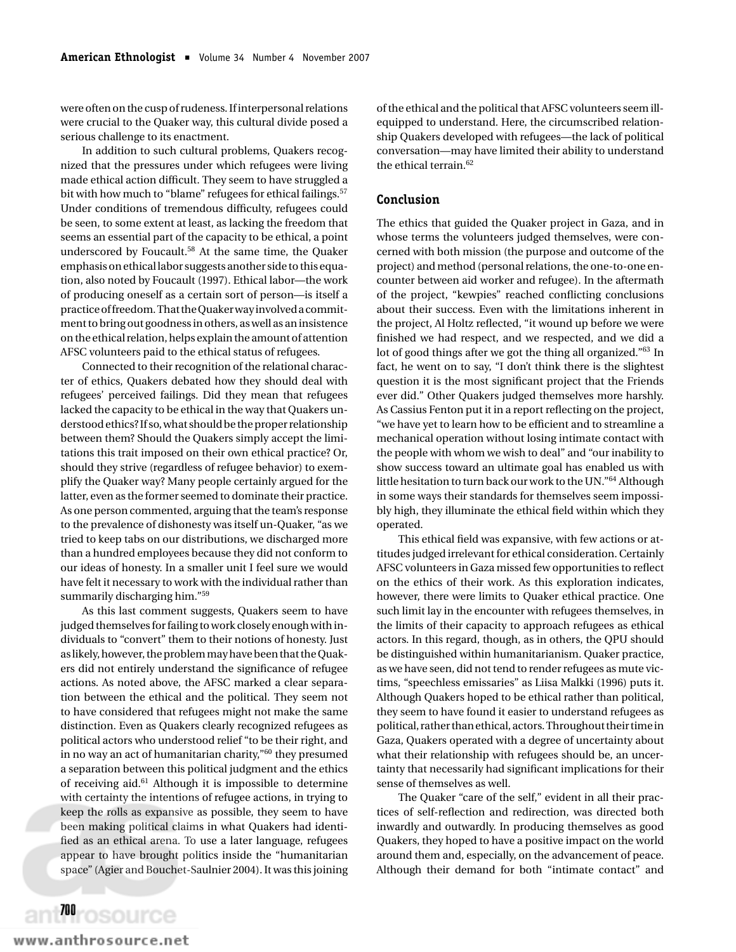were often on the cusp of rudeness. If interpersonal relations were crucial to the Quaker way, this cultural divide posed a serious challenge to its enactment.

In addition to such cultural problems, Quakers recognized that the pressures under which refugees were living made ethical action difficult. They seem to have struggled a bit with how much to "blame" refugees for ethical failings.<sup>57</sup> Under conditions of tremendous difficulty, refugees could be seen, to some extent at least, as lacking the freedom that seems an essential part of the capacity to be ethical, a point underscored by Foucault.<sup>58</sup> At the same time, the Quaker emphasis on ethical labor suggests another side to this equation, also noted by Foucault (1997). Ethical labor—the work of producing oneself as a certain sort of person—is itself a practice of freedom. That the Quaker way involved a commitment to bring out goodness in others, as well as an insistence on the ethical relation, helps explain the amount of attention AFSC volunteers paid to the ethical status of refugees.

Connected to their recognition of the relational character of ethics, Quakers debated how they should deal with refugees' perceived failings. Did they mean that refugees lacked the capacity to be ethical in the way that Quakers understood ethics? If so, what should be the proper relationship between them? Should the Quakers simply accept the limitations this trait imposed on their own ethical practice? Or, should they strive (regardless of refugee behavior) to exemplify the Quaker way? Many people certainly argued for the latter, even as the former seemed to dominate their practice. As one person commented, arguing that the team's response to the prevalence of dishonesty was itself un-Quaker, "as we tried to keep tabs on our distributions, we discharged more than a hundred employees because they did not conform to our ideas of honesty. In a smaller unit I feel sure we would have felt it necessary to work with the individual rather than summarily discharging him."<sup>59</sup>

As this last comment suggests, Quakers seem to have judged themselves for failing to work closely enough with individuals to "convert" them to their notions of honesty. Just as likely, however, the problem may have been that the Quakers did not entirely understand the significance of refugee actions. As noted above, the AFSC marked a clear separation between the ethical and the political. They seem not to have considered that refugees might not make the same distinction. Even as Quakers clearly recognized refugees as political actors who understood relief "to be their right, and in no way an act of humanitarian charity,"<sup>60</sup> they presumed a separation between this political judgment and the ethics of receiving aid.<sup>61</sup> Although it is impossible to determine with certainty the intentions of refugee actions, in trying to keep the rolls as expansive as possible, they seem to have been making political claims in what Quakers had identified as an ethical arena. To use a later language, refugees appear to have brought politics inside the "humanitarian space" (Agier and Bouchet-Saulnier 2004). It was this joining of the ethical and the political that AFSC volunteers seem illequipped to understand. Here, the circumscribed relationship Quakers developed with refugees—the lack of political conversation—may have limited their ability to understand the ethical terrain.<sup>62</sup>

#### **Conclusion**

The ethics that guided the Quaker project in Gaza, and in whose terms the volunteers judged themselves, were concerned with both mission (the purpose and outcome of the project) and method (personal relations, the one-to-one encounter between aid worker and refugee). In the aftermath of the project, "kewpies" reached conflicting conclusions about their success. Even with the limitations inherent in the project, Al Holtz reflected, "it wound up before we were finished we had respect, and we respected, and we did a lot of good things after we got the thing all organized."<sup>63</sup> In fact, he went on to say, "I don't think there is the slightest question it is the most significant project that the Friends ever did." Other Quakers judged themselves more harshly. As Cassius Fenton put it in a report reflecting on the project, "we have yet to learn how to be efficient and to streamline a mechanical operation without losing intimate contact with the people with whom we wish to deal" and "our inability to show success toward an ultimate goal has enabled us with little hesitation to turn back our work to the UN."<sup>64</sup> Although in some ways their standards for themselves seem impossibly high, they illuminate the ethical field within which they operated.

This ethical field was expansive, with few actions or attitudes judged irrelevant for ethical consideration. Certainly AFSC volunteers in Gaza missed few opportunities to reflect on the ethics of their work. As this exploration indicates, however, there were limits to Quaker ethical practice. One such limit lay in the encounter with refugees themselves, in the limits of their capacity to approach refugees as ethical actors. In this regard, though, as in others, the QPU should be distinguished within humanitarianism. Quaker practice, as we have seen, did not tend to render refugees as mute victims, "speechless emissaries" as Liisa Malkki (1996) puts it. Although Quakers hoped to be ethical rather than political, they seem to have found it easier to understand refugees as political, rather than ethical, actors. Throughout their time in Gaza, Quakers operated with a degree of uncertainty about what their relationship with refugees should be, an uncertainty that necessarily had significant implications for their sense of themselves as well.

The Quaker "care of the self," evident in all their practices of self-reflection and redirection, was directed both inwardly and outwardly. In producing themselves as good Quakers, they hoped to have a positive impact on the world around them and, especially, on the advancement of peace. Although their demand for both "intimate contact" and

www.anthrosource.net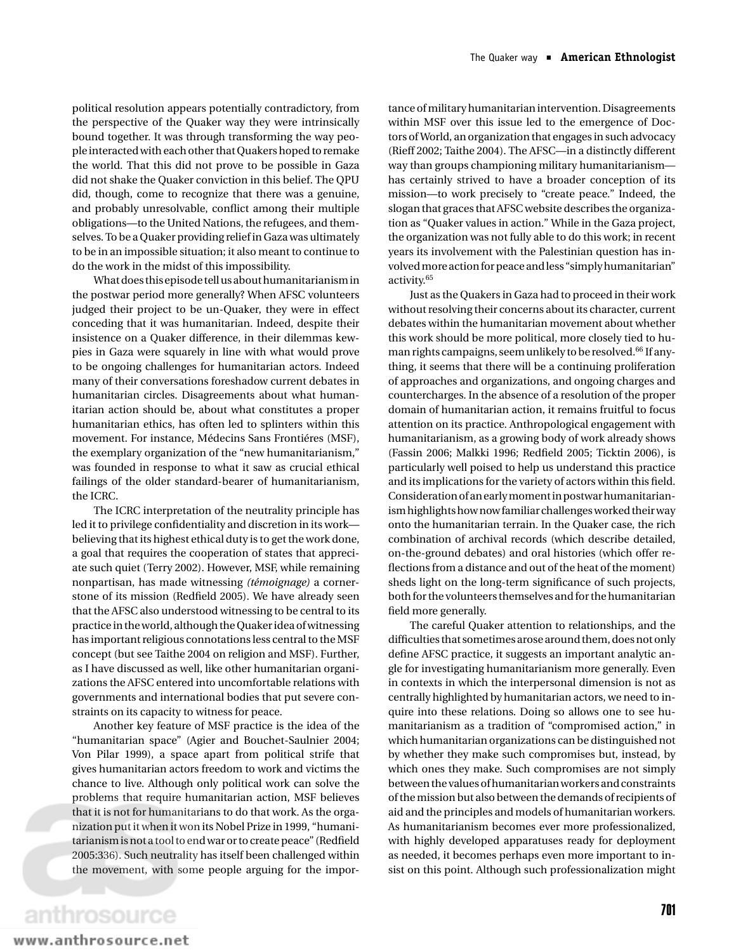political resolution appears potentially contradictory, from the perspective of the Quaker way they were intrinsically bound together. It was through transforming the way people interacted with each other that Quakers hoped to remake the world. That this did not prove to be possible in Gaza did not shake the Quaker conviction in this belief. The QPU did, though, come to recognize that there was a genuine, and probably unresolvable, conflict among their multiple obligations—to the United Nations, the refugees, and themselves. To be a Quaker providing relief in Gaza was ultimately to be in an impossible situation; it also meant to continue to do the work in the midst of this impossibility.

What does this episode tell us about humanitarianism in the postwar period more generally? When AFSC volunteers judged their project to be un-Quaker, they were in effect conceding that it was humanitarian. Indeed, despite their insistence on a Quaker difference, in their dilemmas kewpies in Gaza were squarely in line with what would prove to be ongoing challenges for humanitarian actors. Indeed many of their conversations foreshadow current debates in humanitarian circles. Disagreements about what humanitarian action should be, about what constitutes a proper humanitarian ethics, has often led to splinters within this movement. For instance, Médecins Sans Frontiéres (MSF), the exemplary organization of the "new humanitarianism," was founded in response to what it saw as crucial ethical failings of the older standard-bearer of humanitarianism, the ICRC.

The ICRC interpretation of the neutrality principle has led it to privilege confidentiality and discretion in its work believing that its highest ethical duty is to get the work done, a goal that requires the cooperation of states that appreciate such quiet (Terry 2002). However, MSF, while remaining nonpartisan, has made witnessing *(temoignage) ´* a cornerstone of its mission (Redfield 2005). We have already seen that the AFSC also understood witnessing to be central to its practice in the world, although the Quaker idea of witnessing has important religious connotations less central to the MSF concept (but see Taithe 2004 on religion and MSF). Further, as I have discussed as well, like other humanitarian organizations the AFSC entered into uncomfortable relations with governments and international bodies that put severe constraints on its capacity to witness for peace.

Another key feature of MSF practice is the idea of the "humanitarian space" (Agier and Bouchet-Saulnier 2004; Von Pilar 1999), a space apart from political strife that gives humanitarian actors freedom to work and victims the chance to live. Although only political work can solve the problems that require humanitarian action, MSF believes that it is not for humanitarians to do that work. As the organization put it when it won its Nobel Prize in 1999, "humanitarianism is not a tool to end war or to create peace" (Redfield 2005:336). Such neutrality has itself been challenged within the movement, with some people arguing for the importance of military humanitarian intervention. Disagreements within MSF over this issue led to the emergence of Doctors of World, an organization that engages in such advocacy (Rieff 2002; Taithe 2004). The AFSC—in a distinctly different way than groups championing military humanitarianism has certainly strived to have a broader conception of its mission—to work precisely to "create peace." Indeed, the slogan that graces that AFSC website describes the organization as "Quaker values in action." While in the Gaza project, the organization was not fully able to do this work; in recent years its involvement with the Palestinian question has involved more action for peace and less "simply humanitarian" activity.<sup>65</sup>

Just as the Quakers in Gaza had to proceed in their work without resolving their concerns about its character, current debates within the humanitarian movement about whether this work should be more political, more closely tied to human rights campaigns, seem unlikely to be resolved.<sup>66</sup> If anything, it seems that there will be a continuing proliferation of approaches and organizations, and ongoing charges and countercharges. In the absence of a resolution of the proper domain of humanitarian action, it remains fruitful to focus attention on its practice. Anthropological engagement with humanitarianism, as a growing body of work already shows (Fassin 2006; Malkki 1996; Redfield 2005; Ticktin 2006), is particularly well poised to help us understand this practice and its implications for the variety of actors within this field. Consideration of an early moment in postwar humanitarianism highlights how now familiar challenges worked their way onto the humanitarian terrain. In the Quaker case, the rich combination of archival records (which describe detailed, on-the-ground debates) and oral histories (which offer reflections from a distance and out of the heat of the moment) sheds light on the long-term significance of such projects, both for the volunteers themselves and for the humanitarian field more generally.

The careful Quaker attention to relationships, and the difficulties that sometimes arose around them, does not only define AFSC practice, it suggests an important analytic angle for investigating humanitarianism more generally. Even in contexts in which the interpersonal dimension is not as centrally highlighted by humanitarian actors, we need to inquire into these relations. Doing so allows one to see humanitarianism as a tradition of "compromised action," in which humanitarian organizations can be distinguished not by whether they make such compromises but, instead, by which ones they make. Such compromises are not simply between the values of humanitarian workers and constraints of the mission but also between the demands of recipients of aid and the principles and models of humanitarian workers. As humanitarianism becomes ever more professionalized, with highly developed apparatuses ready for deployment as needed, it becomes perhaps even more important to insist on this point. Although such professionalization might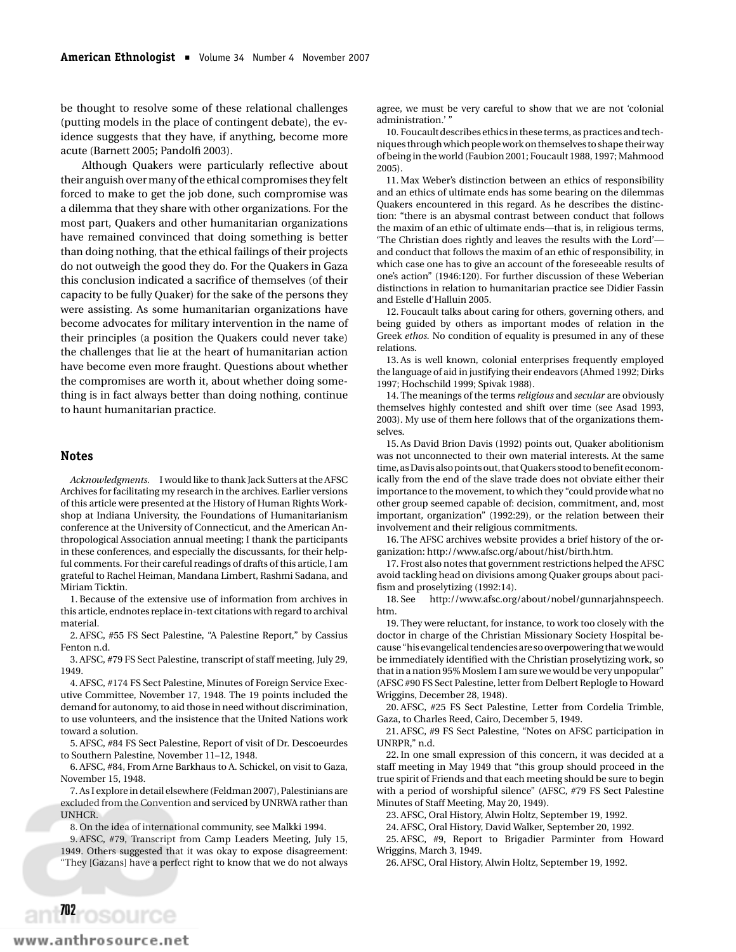be thought to resolve some of these relational challenges (putting models in the place of contingent debate), the evidence suggests that they have, if anything, become more acute (Barnett 2005; Pandolfi 2003).

Although Quakers were particularly reflective about their anguish over many of the ethical compromises they felt forced to make to get the job done, such compromise was a dilemma that they share with other organizations. For the most part, Quakers and other humanitarian organizations have remained convinced that doing something is better than doing nothing, that the ethical failings of their projects do not outweigh the good they do. For the Quakers in Gaza this conclusion indicated a sacrifice of themselves (of their capacity to be fully Quaker) for the sake of the persons they were assisting. As some humanitarian organizations have become advocates for military intervention in the name of their principles (a position the Quakers could never take) the challenges that lie at the heart of humanitarian action have become even more fraught. Questions about whether the compromises are worth it, about whether doing something is in fact always better than doing nothing, continue to haunt humanitarian practice.

#### **Notes**

*Acknowledgments.* I would like to thank Jack Sutters at the AFSC Archives for facilitating my research in the archives. Earlier versions of this article were presented at the History of Human Rights Workshop at Indiana University, the Foundations of Humanitarianism conference at the University of Connecticut, and the American Anthropological Association annual meeting; I thank the participants in these conferences, and especially the discussants, for their helpful comments. For their careful readings of drafts of this article, I am grateful to Rachel Heiman, Mandana Limbert, Rashmi Sadana, and Miriam Ticktin.

1. Because of the extensive use of information from archives in this article, endnotes replace in-text citations with regard to archival material.

2. AFSC, #55 FS Sect Palestine, "A Palestine Report," by Cassius Fenton n.d.

3. AFSC, #79 FS Sect Palestine, transcript of staff meeting, July 29, 1949.

4. AFSC, #174 FS Sect Palestine, Minutes of Foreign Service Executive Committee, November 17, 1948. The 19 points included the demand for autonomy, to aid those in need without discrimination, to use volunteers, and the insistence that the United Nations work toward a solution.

5. AFSC, #84 FS Sect Palestine, Report of visit of Dr. Descoeurdes to Southern Palestine, November 11–12, 1948.

6. AFSC, #84, From Arne Barkhaus to A. Schickel, on visit to Gaza, November 15, 1948.

7. As I explore in detail elsewhere (Feldman 2007), Palestinians are excluded from the Convention and serviced by UNRWA rather than UNHCR.

8. On the idea of international community, see Malkki 1994.

9. AFSC, #79, Transcript from Camp Leaders Meeting, July 15, 1949. Others suggested that it was okay to expose disagreement: "They [Gazans] have a perfect right to know that we do not always

agree, we must be very careful to show that we are not 'colonial administration.'

10. Foucault describes ethics in these terms, as practices and techniques through which people work on themselves to shape their way of being in the world (Faubion 2001; Foucault 1988, 1997; Mahmood 2005).

11. Max Weber's distinction between an ethics of responsibility and an ethics of ultimate ends has some bearing on the dilemmas Quakers encountered in this regard. As he describes the distinction: "there is an abysmal contrast between conduct that follows the maxim of an ethic of ultimate ends—that is, in religious terms, 'The Christian does rightly and leaves the results with the Lord' and conduct that follows the maxim of an ethic of responsibility, in which case one has to give an account of the foreseeable results of one's action" (1946:120). For further discussion of these Weberian distinctions in relation to humanitarian practice see Didier Fassin and Estelle d'Halluin 2005.

12. Foucault talks about caring for others, governing others, and being guided by others as important modes of relation in the Greek *ethos.* No condition of equality is presumed in any of these relations.

13. As is well known, colonial enterprises frequently employed the language of aid in justifying their endeavors (Ahmed 1992; Dirks 1997; Hochschild 1999; Spivak 1988).

14. The meanings of the terms *religious* and *secular* are obviously themselves highly contested and shift over time (see Asad 1993, 2003). My use of them here follows that of the organizations themselves.

15. As David Brion Davis (1992) points out, Quaker abolitionism was not unconnected to their own material interests. At the same time, as Davis also points out, that Quakers stood to benefit economically from the end of the slave trade does not obviate either their importance to the movement, to which they "could provide what no other group seemed capable of: decision, commitment, and, most important, organization" (1992:29), or the relation between their involvement and their religious commitments.

16. The AFSC archives website provides a brief history of the organization: http://www.afsc.org/about/hist/birth.htm.

17. Frost also notes that government restrictions helped the AFSC avoid tackling head on divisions among Quaker groups about pacifism and proselytizing (1992:14).

18. See http://www.afsc.org/about/nobel/gunnarjahnspeech. htm.

19. They were reluctant, for instance, to work too closely with the doctor in charge of the Christian Missionary Society Hospital because "his evangelical tendencies are so overpowering that we would be immediately identified with the Christian proselytizing work, so that in a nation 95% Moslem I am sure we would be very unpopular" (AFSC #90 FS Sect Palestine, letter from Delbert Replogle to Howard Wriggins, December 28, 1948).

20. AFSC, #25 FS Sect Palestine, Letter from Cordelia Trimble, Gaza, to Charles Reed, Cairo, December 5, 1949.

21. AFSC, #9 FS Sect Palestine, "Notes on AFSC participation in UNRPR," n.d.

22. In one small expression of this concern, it was decided at a staff meeting in May 1949 that "this group should proceed in the true spirit of Friends and that each meeting should be sure to begin with a period of worshipful silence" (AFSC, #79 FS Sect Palestine Minutes of Staff Meeting, May 20, 1949).

23. AFSC, Oral History, Alwin Holtz, September 19, 1992.

24. AFSC, Oral History, David Walker, September 20, 1992.

25. AFSC, #9, Report to Brigadier Parminter from Howard Wriggins, March 3, 1949.

26. AFSC, Oral History, Alwin Holtz, September 19, 1992.

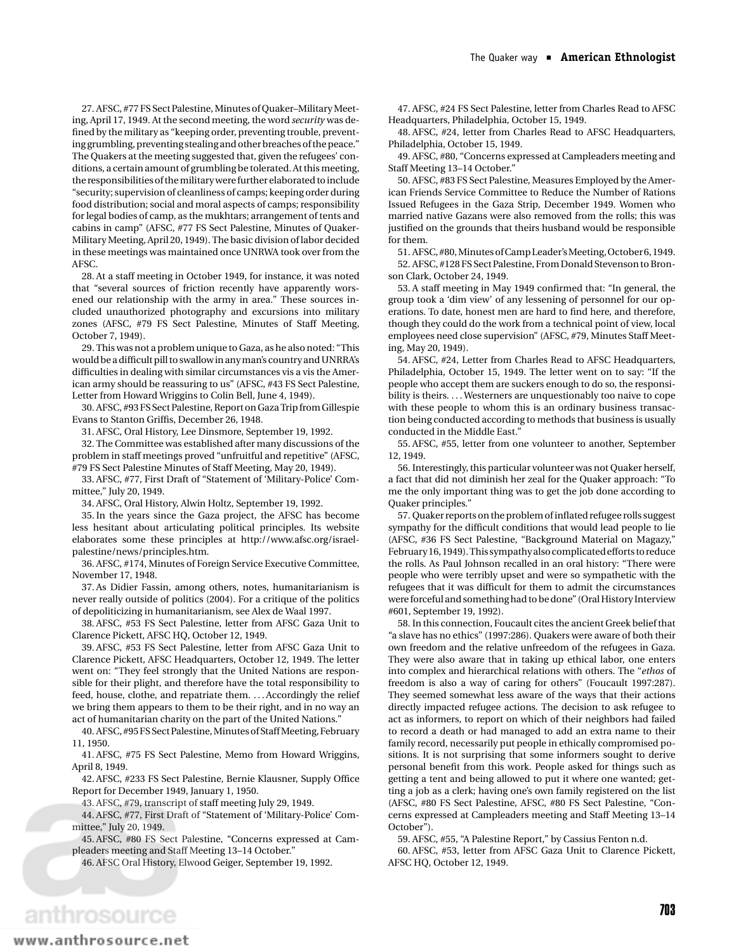27. AFSC, #77 FS Sect Palestine, Minutes of Quaker–Military Meeting, April 17, 1949. At the second meeting, the word *security* was defined by the military as "keeping order, preventing trouble, preventing grumbling, preventing stealing and other breaches of the peace." The Quakers at the meeting suggested that, given the refugees' conditions, a certain amount of grumbling be tolerated. At this meeting, the responsibilities of the military were further elaborated to include "security; supervision of cleanliness of camps; keeping order during food distribution; social and moral aspects of camps; responsibility for legal bodies of camp, as the mukhtars; arrangement of tents and cabins in camp" (AFSC, #77 FS Sect Palestine, Minutes of Quaker-Military Meeting, April 20, 1949). The basic division of labor decided in these meetings was maintained once UNRWA took over from the

AFSC. 28. At a staff meeting in October 1949, for instance, it was noted that "several sources of friction recently have apparently worsened our relationship with the army in area." These sources included unauthorized photography and excursions into military zones (AFSC, #79 FS Sect Palestine, Minutes of Staff Meeting, October 7, 1949).

29. This was not a problem unique to Gaza, as he also noted: "This would be a difficult pill to swallow in any man's country and UNRRA's difficulties in dealing with similar circumstances vis a vis the American army should be reassuring to us" (AFSC, #43 FS Sect Palestine, Letter from Howard Wriggins to Colin Bell, June 4, 1949).

30. AFSC, #93 FS Sect Palestine, Report on Gaza Trip from Gillespie Evans to Stanton Griffis, December 26, 1948.

31. AFSC, Oral History, Lee Dinsmore, September 19, 1992.

32. The Committee was established after many discussions of the problem in staff meetings proved "unfruitful and repetitive" (AFSC, #79 FS Sect Palestine Minutes of Staff Meeting, May 20, 1949).

33. AFSC, #77, First Draft of "Statement of 'Military-Police' Committee," July 20, 1949.

34. AFSC, Oral History, Alwin Holtz, September 19, 1992.

35. In the years since the Gaza project, the AFSC has become less hesitant about articulating political principles. Its website elaborates some these principles at http://www.afsc.org/israelpalestine/news/principles.htm.

36. AFSC, #174, Minutes of Foreign Service Executive Committee, November 17, 1948.

37. As Didier Fassin, among others, notes, humanitarianism is never really outside of politics (2004). For a critique of the politics of depoliticizing in humanitarianism, see Alex de Waal 1997.

38. AFSC, #53 FS Sect Palestine, letter from AFSC Gaza Unit to Clarence Pickett, AFSC HQ, October 12, 1949.

39. AFSC, #53 FS Sect Palestine, letter from AFSC Gaza Unit to Clarence Pickett, AFSC Headquarters, October 12, 1949. The letter went on: "They feel strongly that the United Nations are responsible for their plight, and therefore have the total responsibility to feed, house, clothe, and repatriate them. . . . Accordingly the relief we bring them appears to them to be their right, and in no way an act of humanitarian charity on the part of the United Nations."

40. AFSC, #95 FS Sect Palestine, Minutes of Staff Meeting, February 11, 1950.

41. AFSC, #75 FS Sect Palestine, Memo from Howard Wriggins, April 8, 1949.

42. AFSC, #233 FS Sect Palestine, Bernie Klausner, Supply Office Report for December 1949, January 1, 1950.

43. AFSC, #79, transcript of staff meeting July 29, 1949.

44. AFSC, #77, First Draft of "Statement of 'Military-Police' Committee," July 20, 1949.

45. AFSC, #80 FS Sect Palestine, "Concerns expressed at Campleaders meeting and Staff Meeting 13–14 October."

46. AFSC Oral History, Elwood Geiger, September 19, 1992.

47. AFSC, #24 FS Sect Palestine, letter from Charles Read to AFSC Headquarters, Philadelphia, October 15, 1949.

48. AFSC, #24, letter from Charles Read to AFSC Headquarters, Philadelphia, October 15, 1949.

49. AFSC, #80, "Concerns expressed at Campleaders meeting and Staff Meeting 13–14 October."

50. AFSC, #83 FS Sect Palestine, Measures Employed by the American Friends Service Committee to Reduce the Number of Rations Issued Refugees in the Gaza Strip, December 1949. Women who married native Gazans were also removed from the rolls; this was justified on the grounds that theirs husband would be responsible for them.

51. AFSC, #80, Minutes of Camp Leader's Meeting, October 6, 1949. 52. AFSC, #128 FS Sect Palestine, From Donald Stevenson to Bronson Clark, October 24, 1949.

53. A staff meeting in May 1949 confirmed that: "In general, the group took a 'dim view' of any lessening of personnel for our operations. To date, honest men are hard to find here, and therefore, though they could do the work from a technical point of view, local employees need close supervision" (AFSC, #79, Minutes Staff Meeting, May 20, 1949).

54. AFSC, #24, Letter from Charles Read to AFSC Headquarters, Philadelphia, October 15, 1949. The letter went on to say: "If the people who accept them are suckers enough to do so, the responsibility is theirs. . . . Westerners are unquestionably too naive to cope with these people to whom this is an ordinary business transaction being conducted according to methods that business is usually conducted in the Middle East."

55. AFSC, #55, letter from one volunteer to another, September 12, 1949.

56. Interestingly, this particular volunteer was not Quaker herself, a fact that did not diminish her zeal for the Quaker approach: "To me the only important thing was to get the job done according to Quaker principles."

57. Quaker reports on the problem of inflated refugee rolls suggest sympathy for the difficult conditions that would lead people to lie (AFSC, #36 FS Sect Palestine, "Background Material on Magazy," February 16, 1949). This sympathy also complicated efforts to reduce the rolls. As Paul Johnson recalled in an oral history: "There were people who were terribly upset and were so sympathetic with the refugees that it was difficult for them to admit the circumstances were forceful and something had to be done" (Oral History Interview #601, September 19, 1992).

58. In this connection, Foucault cites the ancient Greek belief that "a slave has no ethics" (1997:286). Quakers were aware of both their own freedom and the relative unfreedom of the refugees in Gaza. They were also aware that in taking up ethical labor, one enters into complex and hierarchical relations with others. The "*ethos* of freedom is also a way of caring for others" (Foucault 1997:287). They seemed somewhat less aware of the ways that their actions directly impacted refugee actions. The decision to ask refugee to act as informers, to report on which of their neighbors had failed to record a death or had managed to add an extra name to their family record, necessarily put people in ethically compromised positions. It is not surprising that some informers sought to derive personal benefit from this work. People asked for things such as getting a tent and being allowed to put it where one wanted; getting a job as a clerk; having one's own family registered on the list (AFSC, #80 FS Sect Palestine, AFSC, #80 FS Sect Palestine, "Concerns expressed at Campleaders meeting and Staff Meeting 13–14 October").

59. AFSC, #55, "A Palestine Report," by Cassius Fenton n.d.

60. AFSC, #53, letter from AFSC Gaza Unit to Clarence Pickett, AFSC HQ, October 12, 1949.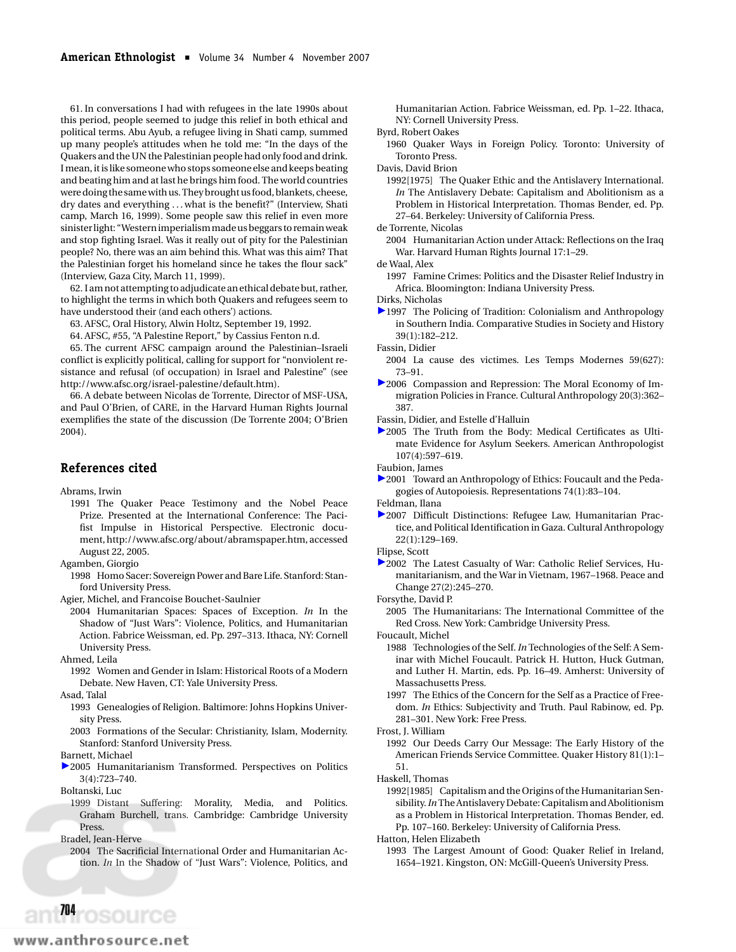61. In conversations I had with refugees in the late 1990s about this period, people seemed to judge this relief in both ethical and political terms. Abu Ayub, a refugee living in Shati camp, summed up many people's attitudes when he told me: "In the days of the Quakers and the UN the Palestinian people had only food and drink. I mean, it is like someone who stops someone else and keeps beating and beating him and at last he brings him food. The world countries were doing the same with us. They brought us food, blankets, cheese, dry dates and everything ... what is the benefit?" (Interview, Shati camp, March 16, 1999). Some people saw this relief in even more sinister light: "Western imperialism made us beggars to remain weak and stop fighting Israel. Was it really out of pity for the Palestinian people? No, there was an aim behind this. What was this aim? That the Palestinian forget his homeland since he takes the flour sack" (Interview, Gaza City, March 11, 1999).

62. I am not attempting to adjudicate an ethical debate but, rather, to highlight the terms in which both Quakers and refugees seem to have understood their (and each others') actions.

63. AFSC, Oral History, Alwin Holtz, September 19, 1992.

64. AFSC, #55, "A Palestine Report," by Cassius Fenton n.d.

65. The current AFSC campaign around the Palestinian–Israeli conflict is explicitly political, calling for support for "nonviolent resistance and refusal (of occupation) in Israel and Palestine" (see http://www.afsc.org/israel-palestine/default.htm).

66. A debate between Nicolas de Torrente, Director of MSF-USA, and Paul O'Brien, of CARE, in the Harvard Human Rights Journal exemplifies the state of the discussion (De Torrente 2004; O'Brien 2004).

#### **References cited**

Abrams, Irwin

- 1991 The Quaker Peace Testimony and the Nobel Peace Prize. Presented at the International Conference: The Pacifist Impulse in Historical Perspective. Electronic document, http://www.afsc.org/about/abramspaper.htm, accessed August 22, 2005.
- Agamben, Giorgio
- 1998 Homo Sacer: Sovereign Power and Bare Life. Stanford: Stanford University Press.

Agier, Michel, and Francoise Bouchet-Saulnier

- 2004 Humanitarian Spaces: Spaces of Exception. *In* In the Shadow of "Just Wars": Violence, Politics, and Humanitarian Action. Fabrice Weissman, ed. Pp. 297–313. Ithaca, NY: Cornell University Press.
- Ahmed, Leila
- 1992 Women and Gender in Islam: Historical Roots of a Modern Debate. New Haven, CT: Yale University Press.

Asad, Talal

- 1993 Genealogies of Religion. Baltimore: Johns Hopkins University Press.
- 2003 Formations of the Secular: Christianity, Islam, Modernity. Stanford: Stanford University Press.

Barnett, Michael

2005 Humanitarianism Transformed. Perspectives on Politics 3(4):723–740.

Boltanski, Luc

1999 Distant Suffering: Morality, Media, and Politics. Graham Burchell, trans. Cambridge: Cambridge University Press.

Bradel, Jean-Herve

Humanitarian Action. Fabrice Weissman, ed. Pp. 1–22. Ithaca, NY: Cornell University Press.

- Byrd, Robert Oakes
- 1960 Quaker Ways in Foreign Policy. Toronto: University of Toronto Press.
- Davis, David Brion
	- 1992[1975] The Quaker Ethic and the Antislavery International. *In* The Antislavery Debate: Capitalism and Abolitionism as a Problem in Historical Interpretation. Thomas Bender, ed. Pp. 27–64. Berkeley: University of California Press.

de Torrente, Nicolas

2004 Humanitarian Action under Attack: Reflections on the Iraq War. Harvard Human Rights Journal 17:1–29.

de Waal, Alex

1997 Famine Crimes: Politics and the Disaster Relief Industry in Africa. Bloomington: Indiana University Press.

Dirks, Nicholas

▶ 1997 The Policing of Tradition: Colonialism and Anthropology in Southern India. Comparative Studies in Society and History 39(1):182–212.

Fassin, Didier

- 2004 La cause des victimes. Les Temps Modernes 59(627): 73–91.
- 2006 Compassion and Repression: The Moral Economy of Immigration Policies in France. Cultural Anthropology 20(3):362– 387.

Fassin, Didier, and Estelle d'Halluin

2005 The Truth from the Body: Medical Certificates as Ultimate Evidence for Asylum Seekers. American Anthropologist 107(4):597–619.

Faubion, James

2001 Toward an Anthropology of Ethics: Foucault and the Pedagogies of Autopoiesis. Representations 74(1):83–104.

Feldman, Ilana

- 2007 Difficult Distinctions: Refugee Law, Humanitarian Practice, and Political Identification in Gaza. Cultural Anthropology 22(1):129–169.
- Flipse, Scott
- ▶ 2002 The Latest Casualty of War: Catholic Relief Services, Humanitarianism, and the War in Vietnam, 1967–1968. Peace and Change 27(2):245–270.
- Forsythe, David P.
- 2005 The Humanitarians: The International Committee of the Red Cross. New York: Cambridge University Press.

Foucault, Michel

- 1988 Technologies of the Self. *In* Technologies of the Self: A Seminar with Michel Foucault. Patrick H. Hutton, Huck Gutman, and Luther H. Martin, eds. Pp. 16–49. Amherst: University of Massachusetts Press.
- 1997 The Ethics of the Concern for the Self as a Practice of Freedom. *In* Ethics: Subjectivity and Truth. Paul Rabinow, ed. Pp. 281–301. New York: Free Press.

Frost, J. William

- 1992 Our Deeds Carry Our Message: The Early History of the American Friends Service Committee. Quaker History 81(1):1– 51.
- Haskell, Thomas
	- 1992[1985] Capitalism and the Origins of the Humanitarian Sensibility.*In*The Antislavery Debate: Capitalism and Abolitionism as a Problem in Historical Interpretation. Thomas Bender, ed. Pp. 107–160. Berkeley: University of California Press.

Hatton, Helen Elizabeth

1993 The Largest Amount of Good: Quaker Relief in Ireland, 1654–1921. Kingston, ON: McGill-Queen's University Press.

<sup>2004</sup> The Sacrificial International Order and Humanitarian Action. *In* In the Shadow of "Just Wars": Violence, Politics, and